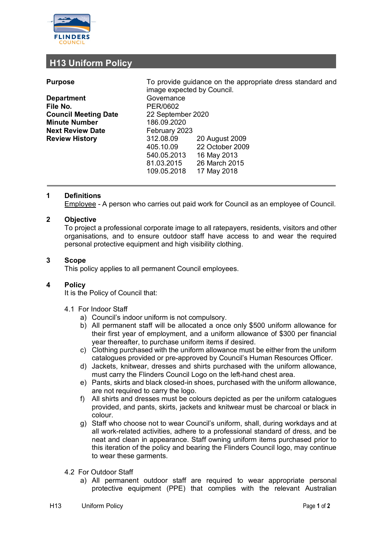

# **H13 Uniform Policy**

| <b>Purpose</b>              | To provide guidance on the appropriate dress standard and<br>image expected by Council. |                 |  |
|-----------------------------|-----------------------------------------------------------------------------------------|-----------------|--|
| <b>Department</b>           | Governance                                                                              |                 |  |
| File No.                    | PER/0602                                                                                |                 |  |
| <b>Council Meeting Date</b> | 22 September 2020                                                                       |                 |  |
| <b>Minute Number</b>        | 186.09.2020                                                                             |                 |  |
| <b>Next Review Date</b>     |                                                                                         | February 2023   |  |
| <b>Review History</b>       | 312.08.09                                                                               | 20 August 2009  |  |
|                             | 405.10.09                                                                               | 22 October 2009 |  |
|                             | 540.05.2013                                                                             | 16 May 2013     |  |
|                             | 81.03.2015                                                                              | 26 March 2015   |  |
|                             | 109.05.2018                                                                             | 17 May 2018     |  |

# **1 Definitions**

Employee - A person who carries out paid work for Council as an employee of Council.

## **2 Objective**

To project a professional corporate image to all ratepayers, residents, visitors and other organisations, and to ensure outdoor staff have access to and wear the required personal protective equipment and high visibility clothing.

#### **3 Scope**

This policy applies to all permanent Council employees.

## **4 Policy**

It is the Policy of Council that:

- 4.1 For Indoor Staff
	- a) Council's indoor uniform is not compulsory.
	- b) All permanent staff will be allocated a once only \$500 uniform allowance for their first year of employment, and a uniform allowance of \$300 per financial year thereafter, to purchase uniform items if desired.
	- c) Clothing purchased with the uniform allowance must be either from the uniform catalogues provided or pre-approved by Council's Human Resources Officer.
	- d) Jackets, knitwear, dresses and shirts purchased with the uniform allowance, must carry the Flinders Council Logo on the left-hand chest area.
	- e) Pants, skirts and black closed-in shoes, purchased with the uniform allowance, are not required to carry the logo.
	- f) All shirts and dresses must be colours depicted as per the uniform catalogues provided, and pants, skirts, jackets and knitwear must be charcoal or black in colour.
	- g) Staff who choose not to wear Council's uniform, shall, during workdays and at all work-related activities, adhere to a professional standard of dress, and be neat and clean in appearance. Staff owning uniform items purchased prior to this iteration of the policy and bearing the Flinders Council logo, may continue to wear these garments.
- 4.2 For Outdoor Staff
	- a) All permanent outdoor staff are required to wear appropriate personal protective equipment (PPE) that complies with the relevant Australian